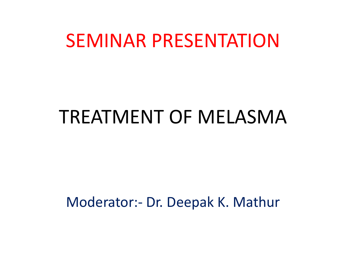## SEMINAR PRESENTATION

## TREATMENT OF MELASMA

Moderator:- Dr. Deepak K. Mathur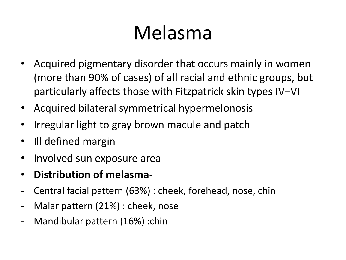## Melasma

- Acquired pigmentary disorder that occurs mainly in women (more than 90% of cases) of all racial and ethnic groups, but particularly affects those with Fitzpatrick skin types IV–VI
- Acquired bilateral symmetrical hypermelonosis
- Irregular light to gray brown macule and patch
- Ill defined margin
- Involved sun exposure area
- **Distribution of melasma-**
- Central facial pattern (63%) : cheek, forehead, nose, chin
- Malar pattern (21%) : cheek, nose
- Mandibular pattern (16%) :chin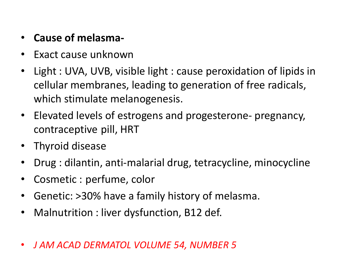- **Cause of melasma-**
- Exact cause unknown
- Light : UVA, UVB, visible light : cause peroxidation of lipids in cellular membranes, leading to generation of free radicals, which stimulate melanogenesis.
- Elevated levels of estrogens and progesterone- pregnancy, contraceptive pill, HRT
- Thyroid disease
- Drug : dilantin, anti-malarial drug, tetracycline, minocycline
- Cosmetic : perfume, color
- Genetic: >30% have a family history of melasma.
- Malnutrition : liver dysfunction, B12 def.
- *J AM ACAD DERMATOL VOLUME 54, NUMBER 5*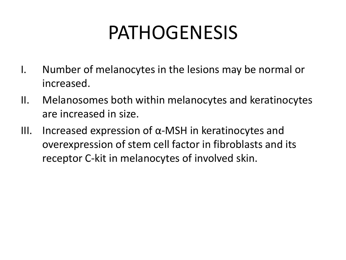## PATHOGENESIS

- I. Number of melanocytes in the lesions may be normal or increased.
- II. Melanosomes both within melanocytes and keratinocytes are increased in size.
- III. Increased expression of α-MSH in keratinocytes and overexpression of stem cell factor in fibroblasts and its receptor C-kit in melanocytes of involved skin.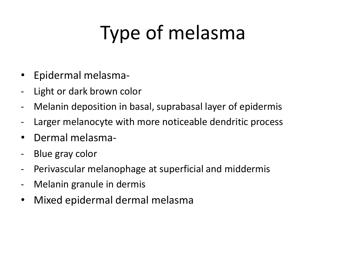## Type of melasma

- Epidermal melasma-
- Light or dark brown color
- Melanin deposition in basal, suprabasal layer of epidermis
- Larger melanocyte with more noticeable dendritic process
- Dermal melasma-
- Blue gray color
- Perivascular melanophage at superficial and middermis
- Melanin granule in dermis
- Mixed epidermal dermal melasma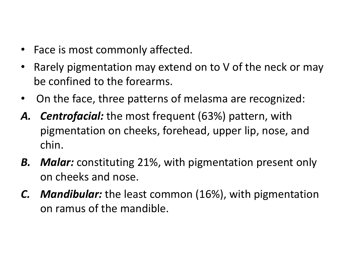- Face is most commonly affected.
- Rarely pigmentation may extend on to V of the neck or may be confined to the forearms.
- On the face, three patterns of melasma are recognized:
- *A. Centrofacial:* the most frequent (63%) pattern, with pigmentation on cheeks, forehead, upper lip, nose, and chin.
- *B. Malar:* constituting 21%, with pigmentation present only on cheeks and nose.
- *C. Mandibular:* the least common (16%), with pigmentation on ramus of the mandible.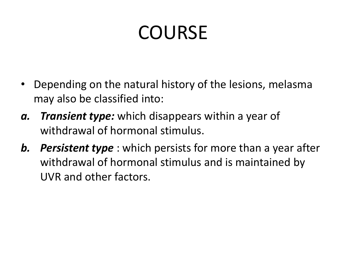## **COURSE**

- Depending on the natural history of the lesions, melasma may also be classified into:
- *a. Transient type:* which disappears within a year of withdrawal of hormonal stimulus.
- *b. Persistent type* : which persists for more than a year after withdrawal of hormonal stimulus and is maintained by UVR and other factors.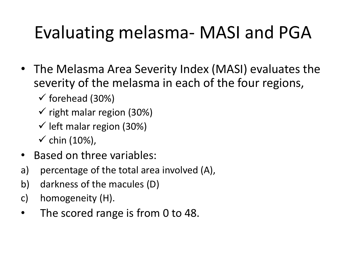## Evaluating melasma- MASI and PGA

- The Melasma Area Severity Index (MASI) evaluates the severity of the melasma in each of the four regions,
	- $\checkmark$  forehead (30%)
	- $\checkmark$  right malar region (30%)
	- $\checkmark$  left malar region (30%)
	- $\checkmark$  chin (10%),
- Based on three variables:
- a) percentage of the total area involved (A),
- b) darkness of the macules (D)
- c) homogeneity (H).
- The scored range is from 0 to 48.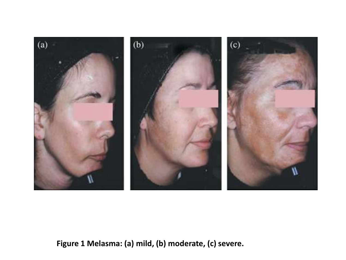

**Figure 1 Melasma: (a) mild, (b) moderate, (c) severe.**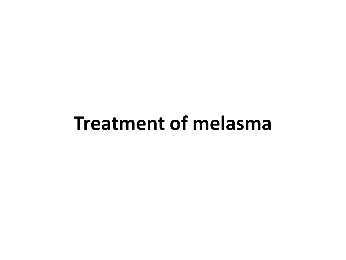## **Treatment of melasma**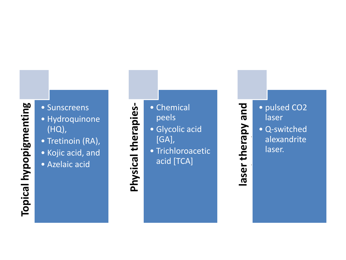# **Topical hypopigmenting Topical hypopigmenting**

- **agents-** Sunscreens Hydroquinone
- (HQ),
- Tretinoin (RA),
- Kojic acid, and
- Azelaic acid

- peels
- **Physical Set of Schemical Press**<br>• Glycolic a<br>• Chemical Peels<br>• Trichloroa<br>acid [TCA<br>• Trichloroa • Glycolic acid [GA],
	- Trichloroacetic
		- acid [TCA]

**laser therapy and**  pue • pulsed CO2<br>laser<br>• Q-switched<br>alexandrite<br>laser. laser laser therapy • Q -switched alexandrite laser.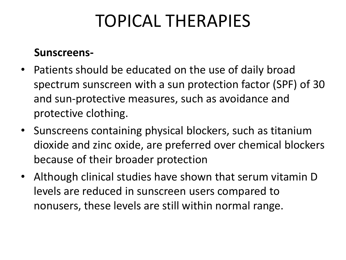## TOPICAL THERAPIES

#### **Sunscreens-**

- Patients should be educated on the use of daily broad spectrum sunscreen with a sun protection factor (SPF) of 30 and sun-protective measures, such as avoidance and protective clothing.
- Sunscreens containing physical blockers, such as titanium dioxide and zinc oxide, are preferred over chemical blockers because of their broader protection
- Although clinical studies have shown that serum vitamin D levels are reduced in sunscreen users compared to nonusers, these levels are still within normal range.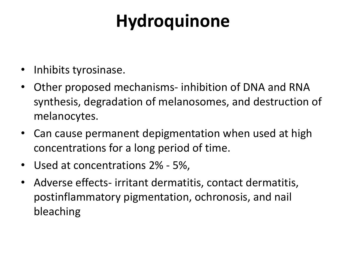## **Hydroquinone**

- Inhibits tyrosinase.
- Other proposed mechanisms- inhibition of DNA and RNA synthesis, degradation of melanosomes, and destruction of melanocytes.
- Can cause permanent depigmentation when used at high concentrations for a long period of time.
- Used at concentrations 2% 5%,
- Adverse effects- irritant dermatitis, contact dermatitis, postinflammatory pigmentation, ochronosis, and nail bleaching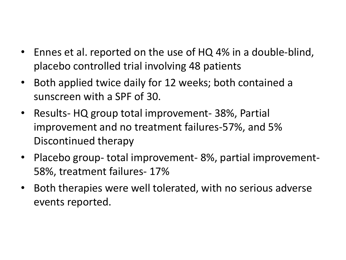- Ennes et al. reported on the use of HQ 4% in a double-blind, placebo controlled trial involving 48 patients
- Both applied twice daily for 12 weeks; both contained a sunscreen with a SPF of 30.
- Results- HQ group total improvement- 38%, Partial improvement and no treatment failures-57%, and 5% Discontinued therapy
- Placebo group- total improvement- 8%, partial improvement-58%, treatment failures- 17%
- Both therapies were well tolerated, with no serious adverse events reported.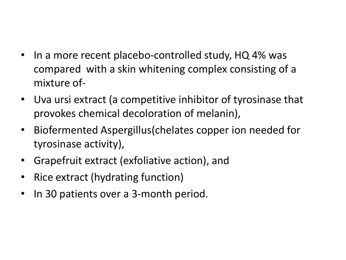- In a more recent placebo-controlled study, HQ 4% was compared with a skin whitening complex consisting of a mixture of-
- Uva ursi extract (a competitive inhibitor of tyrosinase that provokes chemical decoloration of melanin),
- Biofermented Aspergillus(chelates copper ion needed for tyrosinase activity),
- Grapefruit extract (exfoliative action), and
- Rice extract (hydrating function)
- In 30 patients over a 3-month period.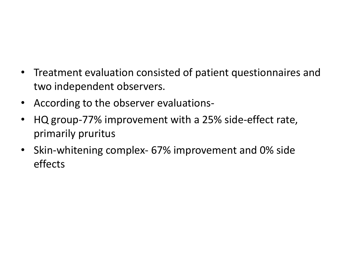- Treatment evaluation consisted of patient questionnaires and two independent observers.
- According to the observer evaluations-
- HQ group-77% improvement with a 25% side-effect rate, primarily pruritus
- Skin-whitening complex- 67% improvement and 0% side effects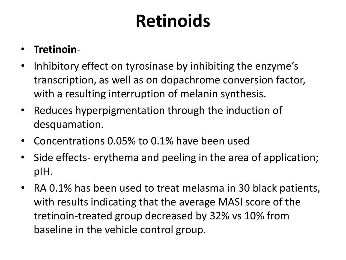## **Retinoids**

### • **Tretinoin**-

- Inhibitory effect on tyrosinase by inhibiting the enzyme's transcription, as well as on dopachrome conversion factor, with a resulting interruption of melanin synthesis.
- Reduces hyperpigmentation through the induction of desquamation.
- Concentrations 0.05% to 0.1% have been used
- Side effects- erythema and peeling in the area of application; pIH.
- RA 0.1% has been used to treat melasma in 30 black patients, with results indicating that the average MASI score of the tretinoin-treated group decreased by 32% vs 10% from baseline in the vehicle control group.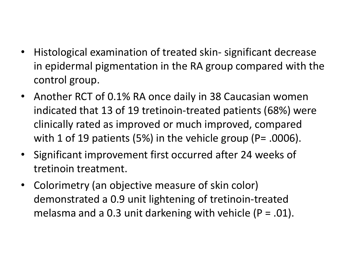- Histological examination of treated skin- significant decrease in epidermal pigmentation in the RA group compared with the control group.
- Another RCT of 0.1% RA once daily in 38 Caucasian women indicated that 13 of 19 tretinoin-treated patients (68%) were clinically rated as improved or much improved, compared with 1 of 19 patients (5%) in the vehicle group (P= .0006).
- Significant improvement first occurred after 24 weeks of tretinoin treatment.
- Colorimetry (an objective measure of skin color) demonstrated a 0.9 unit lightening of tretinoin-treated melasma and a 0.3 unit darkening with vehicle ( $P = .01$ ).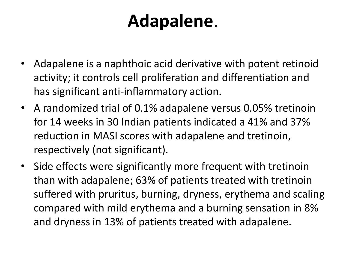## **Adapalene**.

- Adapalene is a naphthoic acid derivative with potent retinoid activity; it controls cell proliferation and differentiation and has significant anti-inflammatory action.
- A randomized trial of 0.1% adapalene versus 0.05% tretinoin for 14 weeks in 30 Indian patients indicated a 41% and 37% reduction in MASI scores with adapalene and tretinoin, respectively (not significant).
- Side effects were significantly more frequent with tretinoin than with adapalene; 63% of patients treated with tretinoin suffered with pruritus, burning, dryness, erythema and scaling compared with mild erythema and a burning sensation in 8% and dryness in 13% of patients treated with adapalene.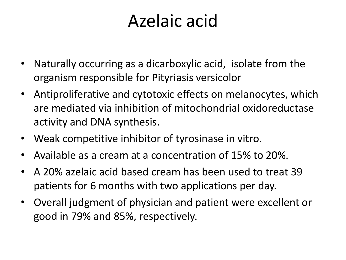## Azelaic acid

- Naturally occurring as a dicarboxylic acid, isolate from the organism responsible for Pityriasis versicolor
- Antiproliferative and cytotoxic effects on melanocytes, which are mediated via inhibition of mitochondrial oxidoreductase activity and DNA synthesis.
- Weak competitive inhibitor of tyrosinase in vitro.
- Available as a cream at a concentration of 15% to 20%.
- A 20% azelaic acid based cream has been used to treat 39 patients for 6 months with two applications per day.
- Overall judgment of physician and patient were excellent or good in 79% and 85%, respectively.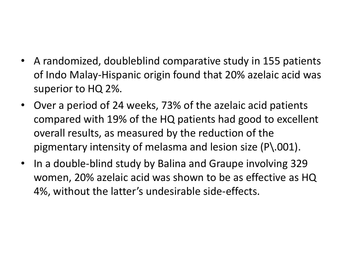- A randomized, doubleblind comparative study in 155 patients of Indo Malay-Hispanic origin found that 20% azelaic acid was superior to HQ 2%.
- Over a period of 24 weeks, 73% of the azelaic acid patients compared with 19% of the HQ patients had good to excellent overall results, as measured by the reduction of the pigmentary intensity of melasma and lesion size (P\.001).
- In a double-blind study by Balina and Graupe involving 329 women, 20% azelaic acid was shown to be as effective as HQ 4%, without the latter's undesirable side-effects.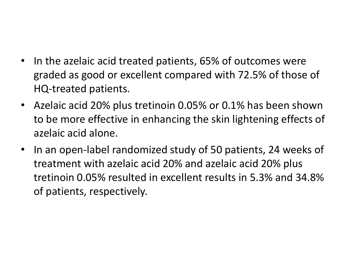- In the azelaic acid treated patients, 65% of outcomes were graded as good or excellent compared with 72.5% of those of HQ-treated patients.
- Azelaic acid 20% plus tretinoin 0.05% or 0.1% has been shown to be more effective in enhancing the skin lightening effects of azelaic acid alone.
- In an open-label randomized study of 50 patients, 24 weeks of treatment with azelaic acid 20% and azelaic acid 20% plus tretinoin 0.05% resulted in excellent results in 5.3% and 34.8% of patients, respectively.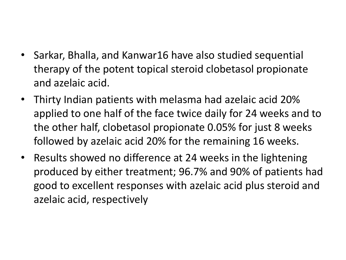- Sarkar, Bhalla, and Kanwar16 have also studied sequential therapy of the potent topical steroid clobetasol propionate and azelaic acid.
- Thirty Indian patients with melasma had azelaic acid 20% applied to one half of the face twice daily for 24 weeks and to the other half, clobetasol propionate 0.05% for just 8 weeks followed by azelaic acid 20% for the remaining 16 weeks.
- Results showed no difference at 24 weeks in the lightening produced by either treatment; 96.7% and 90% of patients had good to excellent responses with azelaic acid plus steroid and azelaic acid, respectively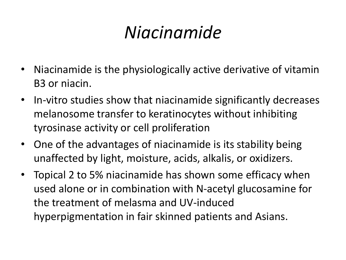## *Niacinamide*

- Niacinamide is the physiologically active derivative of vitamin B3 or niacin.
- In-vitro studies show that niacinamide significantly decreases melanosome transfer to keratinocytes without inhibiting tyrosinase activity or cell proliferation
- One of the advantages of niacinamide is its stability being unaffected by light, moisture, acids, alkalis, or oxidizers.
- Topical 2 to 5% niacinamide has shown some efficacy when used alone or in combination with N-acetyl glucosamine for the treatment of melasma and UV-induced hyperpigmentation in fair skinned patients and Asians.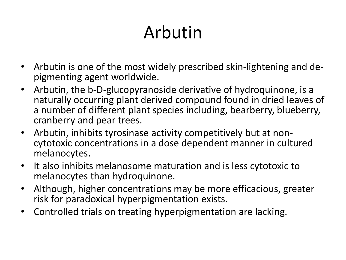## Arbutin

- Arbutin is one of the most widely prescribed skin-lightening and depigmenting agent worldwide.
- Arbutin, the b-D-glucopyranoside derivative of hydroquinone, is a naturally occurring plant derived compound found in dried leaves of a number of different plant species including, bearberry, blueberry, cranberry and pear trees.
- Arbutin, inhibits tyrosinase activity competitively but at noncytotoxic concentrations in a dose dependent manner in cultured melanocytes.
- It also inhibits melanosome maturation and is less cytotoxic to melanocytes than hydroquinone.
- Although, higher concentrations may be more efficacious, greater risk for paradoxical hyperpigmentation exists.
- Controlled trials on treating hyperpigmentation are lacking.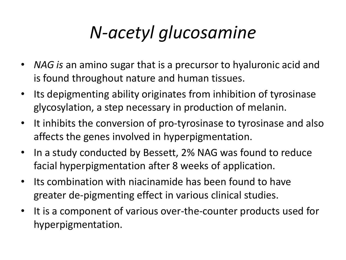## *N-acetyl glucosamine*

- *NAG is* an amino sugar that is a precursor to hyaluronic acid and is found throughout nature and human tissues.
- Its depigmenting ability originates from inhibition of tyrosinase glycosylation, a step necessary in production of melanin.
- It inhibits the conversion of pro-tyrosinase to tyrosinase and also affects the genes involved in hyperpigmentation.
- In a study conducted by Bessett, 2% NAG was found to reduce facial hyperpigmentation after 8 weeks of application.
- Its combination with niacinamide has been found to have greater de-pigmenting effect in various clinical studies.
- It is a component of various over-the-counter products used for hyperpigmentation.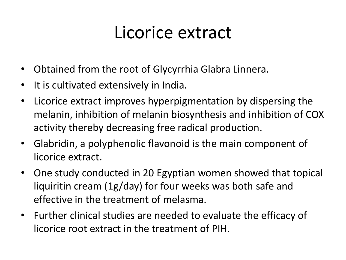## Licorice extract

- Obtained from the root of Glycyrrhia Glabra Linnera.
- It is cultivated extensively in India.
- Licorice extract improves hyperpigmentation by dispersing the melanin, inhibition of melanin biosynthesis and inhibition of COX activity thereby decreasing free radical production.
- Glabridin, a polyphenolic flavonoid is the main component of licorice extract.
- One study conducted in 20 Egyptian women showed that topical liquiritin cream (1g/day) for four weeks was both safe and effective in the treatment of melasma.
- Further clinical studies are needed to evaluate the efficacy of licorice root extract in the treatment of PIH.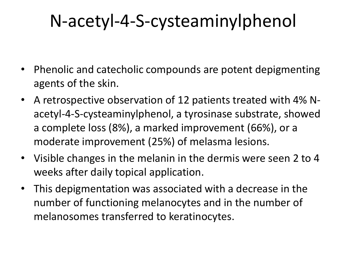## N-acetyl-4-S-cysteaminylphenol

- Phenolic and catecholic compounds are potent depigmenting agents of the skin.
- A retrospective observation of 12 patients treated with 4% Nacetyl-4-S-cysteaminylphenol, a tyrosinase substrate, showed a complete loss (8%), a marked improvement (66%), or a moderate improvement (25%) of melasma lesions.
- Visible changes in the melanin in the dermis were seen 2 to 4 weeks after daily topical application.
- This depigmentation was associated with a decrease in the number of functioning melanocytes and in the number of melanosomes transferred to keratinocytes.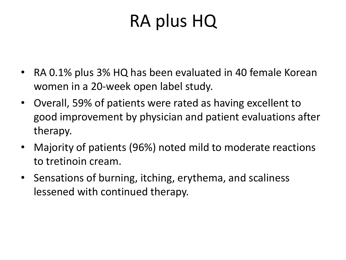## RA plus HQ

- RA 0.1% plus 3% HQ has been evaluated in 40 female Korean women in a 20-week open label study.
- Overall, 59% of patients were rated as having excellent to good improvement by physician and patient evaluations after therapy.
- Majority of patients (96%) noted mild to moderate reactions to tretinoin cream.
- Sensations of burning, itching, erythema, and scaliness lessened with continued therapy.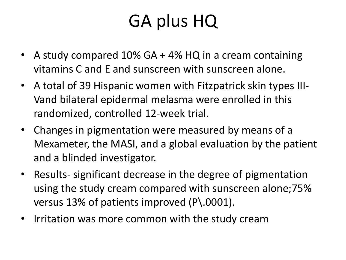## GA plus HQ

- A study compared 10% GA + 4% HQ in a cream containing vitamins C and E and sunscreen with sunscreen alone.
- A total of 39 Hispanic women with Fitzpatrick skin types III-Vand bilateral epidermal melasma were enrolled in this randomized, controlled 12-week trial.
- Changes in pigmentation were measured by means of a Mexameter, the MASI, and a global evaluation by the patient and a blinded investigator.
- Results- significant decrease in the degree of pigmentation using the study cream compared with sunscreen alone;75% versus 13% of patients improved (P\.0001).
- Irritation was more common with the study cream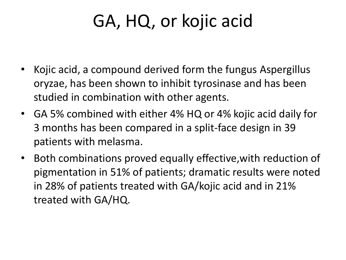## GA, HQ, or kojic acid

- Kojic acid, a compound derived form the fungus Aspergillus oryzae, has been shown to inhibit tyrosinase and has been studied in combination with other agents.
- GA 5% combined with either 4% HQ or 4% kojic acid daily for 3 months has been compared in a split-face design in 39 patients with melasma.
- Both combinations proved equally effective,with reduction of pigmentation in 51% of patients; dramatic results were noted in 28% of patients treated with GA/kojic acid and in 21% treated with GA/HQ.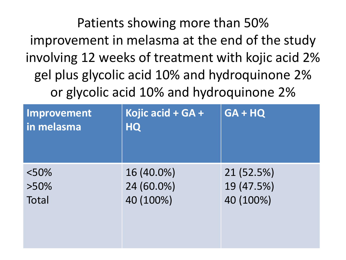Patients showing more than 50% improvement in melasma at the end of the study involving 12 weeks of treatment with kojic acid 2% gel plus glycolic acid 10% and hydroquinone 2% or glycolic acid 10% and hydroquinone 2%

| Improvement<br>in melasma | Kojic acid + GA +<br><b>HQ</b> | $GA + HQ$  |
|---------------------------|--------------------------------|------------|
| $< 50\%$                  | 16 (40.0%)                     | 21 (52.5%) |
| $>50\%$                   | 24 (60.0%)                     | 19 (47.5%) |
| Total                     | 40 (100%)                      | 40 (100%)  |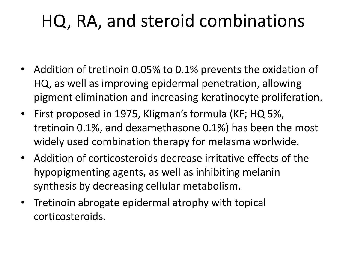## HQ, RA, and steroid combinations

- Addition of tretinoin 0.05% to 0.1% prevents the oxidation of HQ, as well as improving epidermal penetration, allowing pigment elimination and increasing keratinocyte proliferation.
- First proposed in 1975, Kligman's formula (KF; HQ 5%, tretinoin 0.1%, and dexamethasone 0.1%) has been the most widely used combination therapy for melasma worlwide.
- Addition of corticosteroids decrease irritative effects of the hypopigmenting agents, as well as inhibiting melanin synthesis by decreasing cellular metabolism.
- Tretinoin abrogate epidermal atrophy with topical corticosteroids.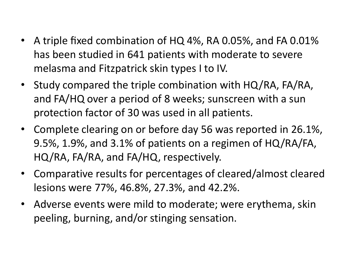- A triple fixed combination of HQ 4%, RA 0.05%, and FA 0.01% has been studied in 641 patients with moderate to severe melasma and Fitzpatrick skin types I to IV.
- Study compared the triple combination with HQ/RA, FA/RA, and FA/HQ over a period of 8 weeks; sunscreen with a sun protection factor of 30 was used in all patients.
- Complete clearing on or before day 56 was reported in 26.1%, 9.5%, 1.9%, and 3.1% of patients on a regimen of HQ/RA/FA, HQ/RA, FA/RA, and FA/HQ, respectively.
- Comparative results for percentages of cleared/almost cleared lesions were 77%, 46.8%, 27.3%, and 42.2%.
- Adverse events were mild to moderate; were erythema, skin peeling, burning, and/or stinging sensation.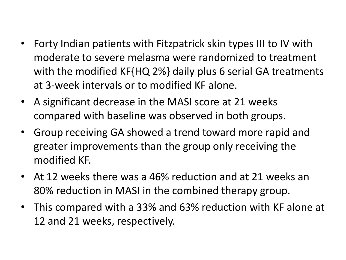- Forty Indian patients with Fitzpatrick skin types III to IV with moderate to severe melasma were randomized to treatment with the modified KF{HQ 2%} daily plus 6 serial GA treatments at 3-week intervals or to modified KF alone.
- A significant decrease in the MASI score at 21 weeks compared with baseline was observed in both groups.
- Group receiving GA showed a trend toward more rapid and greater improvements than the group only receiving the modified KF.
- At 12 weeks there was a 46% reduction and at 21 weeks an 80% reduction in MASI in the combined therapy group.
- This compared with a 33% and 63% reduction with KF alone at 12 and 21 weeks, respectively.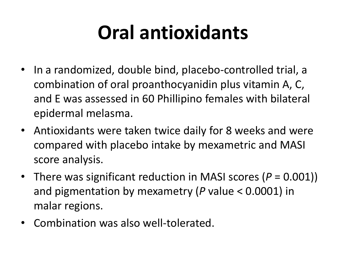## **Oral antioxidants**

- In a randomized, double bind, placebo-controlled trial, a combination of oral proanthocyanidin plus vitamin A, C, and E was assessed in 60 Phillipino females with bilateral epidermal melasma.
- Antioxidants were taken twice daily for 8 weeks and were compared with placebo intake by mexametric and MASI score analysis.
- There was significant reduction in MASI scores (*P* = 0.001)) and pigmentation by mexametry (*P* value < 0.0001) in malar regions.
- Combination was also well-tolerated.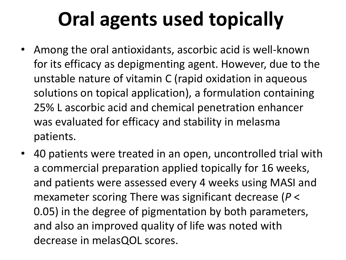# **Oral agents used topically**

- Among the oral antioxidants, ascorbic acid is well-known for its efficacy as depigmenting agent. However, due to the unstable nature of vitamin C (rapid oxidation in aqueous solutions on topical application), a formulation containing 25% L ascorbic acid and chemical penetration enhancer was evaluated for efficacy and stability in melasma patients.
- 40 patients were treated in an open, uncontrolled trial with a commercial preparation applied topically for 16 weeks, and patients were assessed every 4 weeks using MASI and mexameter scoring There was significant decrease (*P* < 0.05) in the degree of pigmentation by both parameters, and also an improved quality of life was noted with decrease in melasQOL scores.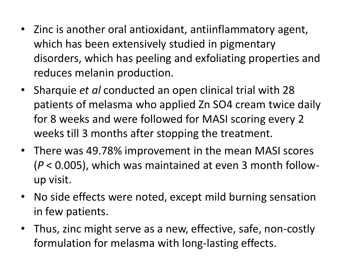- Zinc is another oral antioxidant, antiinflammatory agent, which has been extensively studied in pigmentary disorders, which has peeling and exfoliating properties and reduces melanin production.
- Sharquie *et al* conducted an open clinical trial with 28 patients of melasma who applied Zn SO4 cream twice daily for 8 weeks and were followed for MASI scoring every 2 weeks till 3 months after stopping the treatment.
- There was 49.78% improvement in the mean MASI scores (*P* < 0.005), which was maintained at even 3 month followup visit.
- No side effects were noted, except mild burning sensation in few patients.
- Thus, zinc might serve as a new, effective, safe, non-costly formulation for melasma with long-lasting effects.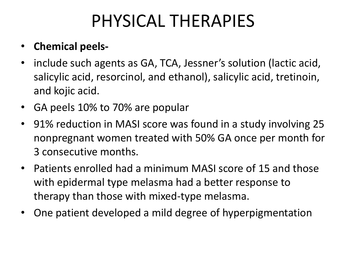## PHYSICAL THERAPIES

### • **Chemical peels-**

- include such agents as GA, TCA, Jessner's solution (lactic acid, salicylic acid, resorcinol, and ethanol), salicylic acid, tretinoin, and kojic acid.
- GA peels 10% to 70% are popular
- 91% reduction in MASI score was found in a study involving 25 nonpregnant women treated with 50% GA once per month for 3 consecutive months.
- Patients enrolled had a minimum MASI score of 15 and those with epidermal type melasma had a better response to therapy than those with mixed-type melasma.
- One patient developed a mild degree of hyperpigmentation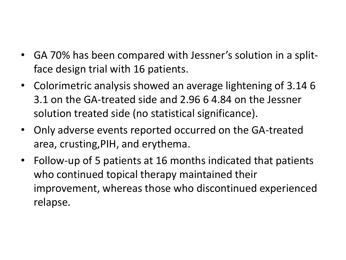- GA 70% has been compared with Jessner's solution in a splitface design trial with 16 patients.
- Colorimetric analysis showed an average lightening of 3.14 6 3.1 on the GA-treated side and 2.96 6 4.84 on the Jessner solution treated side (no statistical significance).
- Only adverse events reported occurred on the GA-treated area, crusting,PIH, and erythema.
- Follow-up of 5 patients at 16 months indicated that patients who continued topical therapy maintained their improvement, whereas those who discontinued experienced relapse.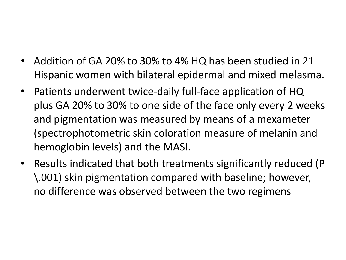- Addition of GA 20% to 30% to 4% HQ has been studied in 21 Hispanic women with bilateral epidermal and mixed melasma.
- Patients underwent twice-daily full-face application of HQ plus GA 20% to 30% to one side of the face only every 2 weeks and pigmentation was measured by means of a mexameter (spectrophotometric skin coloration measure of melanin and hemoglobin levels) and the MASI.
- Results indicated that both treatments significantly reduced (P \.001) skin pigmentation compared with baseline; however, no difference was observed between the two regimens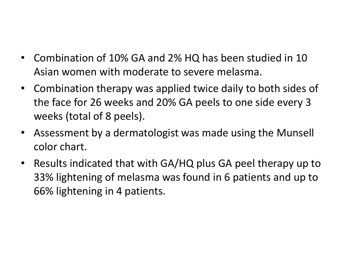- Combination of 10% GA and 2% HQ has been studied in 10 Asian women with moderate to severe melasma.
- Combination therapy was applied twice daily to both sides of the face for 26 weeks and 20% GA peels to one side every 3 weeks (total of 8 peels).
- Assessment by a dermatologist was made using the Munsell color chart.
- Results indicated that with GA/HQ plus GA peel therapy up to 33% lightening of melasma was found in 6 patients and up to 66% lightening in 4 patients.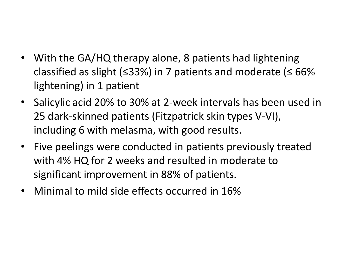- With the GA/HQ therapy alone, 8 patients had lightening classified as slight ( $\leq$ 33%) in 7 patients and moderate ( $\leq$  66% lightening) in 1 patient
- Salicylic acid 20% to 30% at 2-week intervals has been used in 25 dark-skinned patients (Fitzpatrick skin types V-VI), including 6 with melasma, with good results.
- Five peelings were conducted in patients previously treated with 4% HQ for 2 weeks and resulted in moderate to significant improvement in 88% of patients.
- Minimal to mild side effects occurred in 16%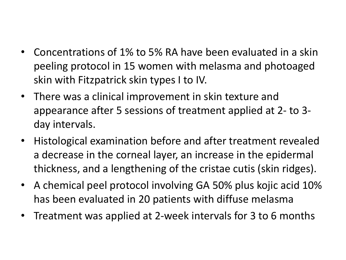- Concentrations of 1% to 5% RA have been evaluated in a skin peeling protocol in 15 women with melasma and photoaged skin with Fitzpatrick skin types I to IV.
- There was a clinical improvement in skin texture and appearance after 5 sessions of treatment applied at 2- to 3 day intervals.
- Histological examination before and after treatment revealed a decrease in the corneal layer, an increase in the epidermal thickness, and a lengthening of the cristae cutis (skin ridges).
- A chemical peel protocol involving GA 50% plus kojic acid 10% has been evaluated in 20 patients with diffuse melasma
- Treatment was applied at 2-week intervals for 3 to 6 months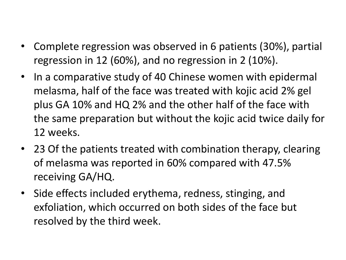- Complete regression was observed in 6 patients (30%), partial regression in 12 (60%), and no regression in 2 (10%).
- In a comparative study of 40 Chinese women with epidermal melasma, half of the face was treated with kojic acid 2% gel plus GA 10% and HQ 2% and the other half of the face with the same preparation but without the kojic acid twice daily for 12 weeks.
- 23 Of the patients treated with combination therapy, clearing of melasma was reported in 60% compared with 47.5% receiving GA/HQ.
- Side effects included erythema, redness, stinging, and exfoliation, which occurred on both sides of the face but resolved by the third week.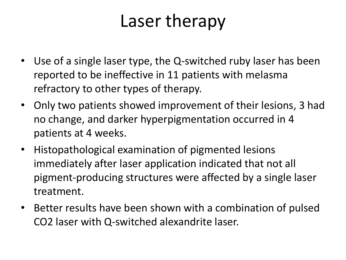# Laser therapy

- Use of a single laser type, the Q-switched ruby laser has been reported to be ineffective in 11 patients with melasma refractory to other types of therapy.
- Only two patients showed improvement of their lesions, 3 had no change, and darker hyperpigmentation occurred in 4 patients at 4 weeks.
- Histopathological examination of pigmented lesions immediately after laser application indicated that not all pigment-producing structures were affected by a single laser treatment.
- Better results have been shown with a combination of pulsed CO2 laser with Q-switched alexandrite laser.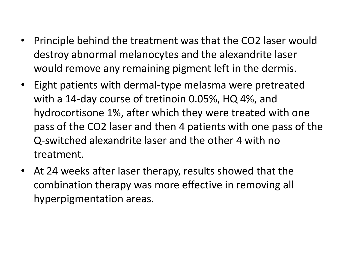- Principle behind the treatment was that the CO2 laser would destroy abnormal melanocytes and the alexandrite laser would remove any remaining pigment left in the dermis.
- Eight patients with dermal-type melasma were pretreated with a 14-day course of tretinoin 0.05%, HQ 4%, and hydrocortisone 1%, after which they were treated with one pass of the CO2 laser and then 4 patients with one pass of the Q-switched alexandrite laser and the other 4 with no treatment.
- At 24 weeks after laser therapy, results showed that the combination therapy was more effective in removing all hyperpigmentation areas.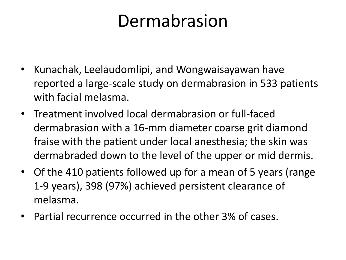## Dermabrasion

- Kunachak, Leelaudomlipi, and Wongwaisayawan have reported a large-scale study on dermabrasion in 533 patients with facial melasma.
- Treatment involved local dermabrasion or full-faced dermabrasion with a 16-mm diameter coarse grit diamond fraise with the patient under local anesthesia; the skin was dermabraded down to the level of the upper or mid dermis.
- Of the 410 patients followed up for a mean of 5 years (range 1-9 years), 398 (97%) achieved persistent clearance of melasma.
- Partial recurrence occurred in the other 3% of cases.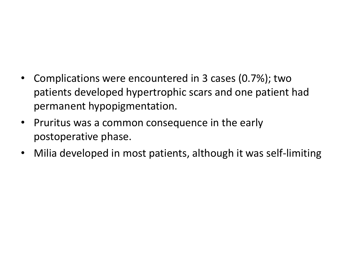### • Complications were encountered in 3 cases (0.7%); two patients developed hypertrophic scars and one patient had permanent hypopigmentation.

- Pruritus was a common consequence in the early postoperative phase.
- Milia developed in most patients, although it was self-limiting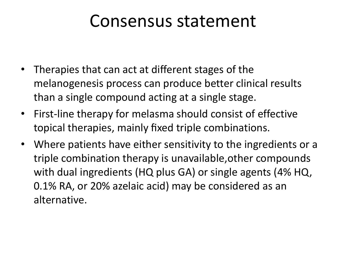### Consensus statement

- Therapies that can act at different stages of the melanogenesis process can produce better clinical results than a single compound acting at a single stage.
- First-line therapy for melasma should consist of effective topical therapies, mainly fixed triple combinations.
- Where patients have either sensitivity to the ingredients or a triple combination therapy is unavailable,other compounds with dual ingredients (HQ plus GA) or single agents (4% HQ, 0.1% RA, or 20% azelaic acid) may be considered as an alternative.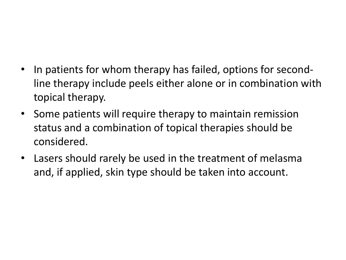- In patients for whom therapy has failed, options for secondline therapy include peels either alone or in combination with topical therapy.
- Some patients will require therapy to maintain remission status and a combination of topical therapies should be considered.
- Lasers should rarely be used in the treatment of melasma and, if applied, skin type should be taken into account.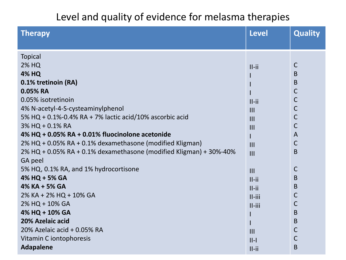#### Level and quality of evidence for melasma therapies

| <b>Therapy</b>                                                     | <b>Level</b>   | <b>Quality</b> |
|--------------------------------------------------------------------|----------------|----------------|
|                                                                    |                |                |
| <b>Topical</b>                                                     |                |                |
| <b>2% HQ</b>                                                       | $II$ -ii       | $\mathsf{C}$   |
| <b>4% HQ</b>                                                       |                | B              |
| 0.1% tretinoin (RA)                                                |                | B              |
| 0.05% RA                                                           |                | $\mathsf{C}$   |
| 0.05% isotretinoin                                                 | $II$ -ii       | $\mathsf{C}$   |
| 4% N-acetyl-4-S-cysteaminylphenol                                  | $\mathbf{III}$ | $\mathsf C$    |
| 5% HQ + 0.1%-0.4% RA + 7% lactic acid/10% ascorbic acid            | $\mathbf{III}$ | $\mathsf{C}$   |
| 3% HQ + 0.1% RA                                                    | $\mathbf{III}$ | $\mathsf{C}$   |
| 4% HQ + 0.05% RA + 0.01% fluocinolone acetonide                    | L              | $\overline{A}$ |
| 2% HQ + 0.05% RA + 0.1% dexamethasone (modified Kligman)           | $\mathbf{III}$ | $\mathsf C$    |
| 2% HQ + 0.05% RA + 0.1% dexamethasone (modified Kligman) + 30%-40% | III            | B              |
| GA peel                                                            |                |                |
| 5% HQ, 0.1% RA, and 1% hydrocortisone                              | III            | $\mathsf{C}$   |
| 4% HQ + 5% GA                                                      | $II$ -ii       | B              |
| 4% KA + 5% GA                                                      | $II$ -ii       | B              |
| 2% KA + 2% HQ + 10% GA                                             | $II$ -iii      | С              |
| 2% HQ + 10% GA                                                     | $II$ -iii      | С              |
| 4% HQ + 10% GA                                                     |                | B              |
| 20% Azelaic acid                                                   |                | B              |
| 20% Azelaic acid + 0.05% RA                                        | III            | $\mathsf{C}$   |
| Vitamin C iontophoresis                                            | $  -  $        | $\mathsf{C}$   |
| <b>Adapalene</b>                                                   | $II$ -ii       | B              |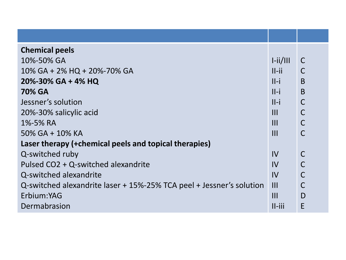| <b>Chemical peels</b>                                                |                |              |
|----------------------------------------------------------------------|----------------|--------------|
| 10%-50% GA                                                           | $I$ -ii/III    | $\mathsf{C}$ |
| $10\%$ GA + 2% HQ + 20%-70% GA                                       | $II$ -ii       | $\mathsf C$  |
| 20%-30% GA + 4% HQ                                                   | $II - i$       | B            |
| <b>70% GA</b>                                                        | $II - i$       | B            |
| Jessner's solution                                                   | $II - i$       | $\mathsf C$  |
| 20%-30% salicylic acid                                               | $\mathbf{III}$ | $\mathsf C$  |
| 1%-5% RA                                                             | III            | $\mathsf C$  |
| 50% GA + 10% KA                                                      | $\mathbf{III}$ | $\mathsf{C}$ |
| Laser therapy (+chemical peels and topical therapies)                |                |              |
| Q-switched ruby                                                      | $\mathsf{IV}$  | $\mathsf C$  |
| Pulsed CO2 + Q-switched alexandrite                                  | $\mathsf{IV}$  | $\mathsf{C}$ |
| Q-switched alexandrite                                               | IV             | $\mathsf C$  |
| Q-switched alexandrite laser + 15%-25% TCA peel + Jessner's solution | $\mathbf{III}$ | $\mathsf C$  |
| Erbium:YAG                                                           | $\mathbf{III}$ | D            |
| Dermabrasion                                                         | $II$ -iii      | E            |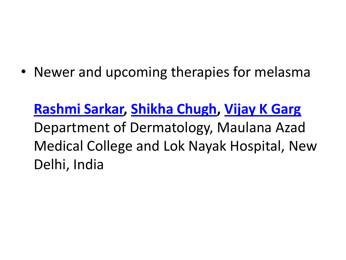• Newer and upcoming therapies for melasma

**[Rashmi](http://www.ijdvl.com/searchresult.asp?search=&author=Rashmi+Sarkar&journal=Y&but_search=Search&entries=10&pg=1&s=0) [Sarkar](http://www.ijdvl.com/searchresult.asp?search=&author=Rashmi+Sarkar&journal=Y&but_search=Search&entries=10&pg=1&s=0), [Shikha](http://www.ijdvl.com/searchresult.asp?search=&author=Shikha+Chugh&journal=Y&but_search=Search&entries=10&pg=1&s=0) [Chugh,](http://www.ijdvl.com/searchresult.asp?search=&author=Shikha+Chugh&journal=Y&but_search=Search&entries=10&pg=1&s=0) [Vijay K Garg](http://www.ijdvl.com/searchresult.asp?search=&author=Vijay+K+Garg&journal=Y&but_search=Search&entries=10&pg=1&s=0)** Department of Dermatology, Maulana Azad Medical College and Lok Nayak Hospital, New Delhi, India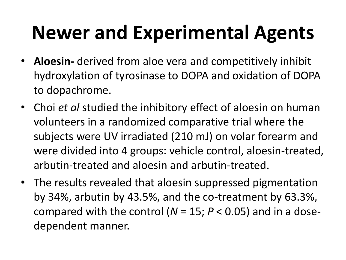# **Newer and Experimental Agents**

- **Aloesin-** derived from aloe vera and competitively inhibit hydroxylation of tyrosinase to DOPA and oxidation of DOPA to dopachrome.
- Choi *et al* studied the inhibitory effect of aloesin on human volunteers in a randomized comparative trial where the subjects were UV irradiated (210 mJ) on volar forearm and were divided into 4 groups: vehicle control, aloesin-treated, arbutin-treated and aloesin and arbutin-treated.
- The results revealed that aloesin suppressed pigmentation by 34%, arbutin by 43.5%, and the co-treatment by 63.3%, compared with the control ( $N = 15$ ;  $P < 0.05$ ) and in a dosedependent manner.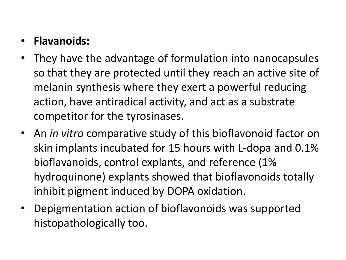### • **Flavanoids:**

- They have the advantage of formulation into nanocapsules so that they are protected until they reach an active site of melanin synthesis where they exert a powerful reducing action, have antiradical activity, and act as a substrate competitor for the tyrosinases.
- An *in vitro* comparative study of this bioflavonoid factor on skin implants incubated for 15 hours with L-dopa and 0.1% bioflavanoids, control explants, and reference (1% hydroquinone) explants showed that bioflavonoids totally inhibit pigment induced by DOPA oxidation.
- Depigmentation action of bioflavonoids was supported histopathologically too.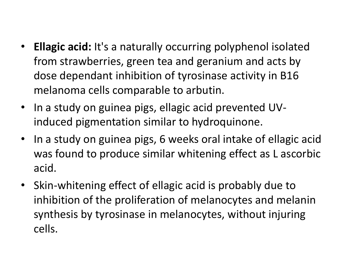- **Ellagic acid:** It's a naturally occurring polyphenol isolated from strawberries, green tea and geranium and acts by dose dependant inhibition of tyrosinase activity in B16 melanoma cells comparable to arbutin.
- In a study on guinea pigs, ellagic acid prevented UVinduced pigmentation similar to hydroquinone.
- In a study on guinea pigs, 6 weeks oral intake of ellagic acid was found to produce similar whitening effect as L ascorbic acid.
- Skin-whitening effect of ellagic acid is probably due to inhibition of the proliferation of melanocytes and melanin synthesis by tyrosinase in melanocytes, without injuring cells.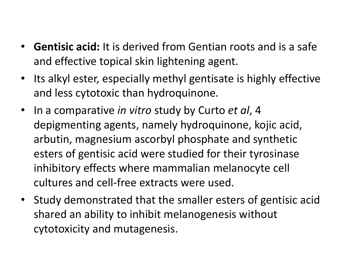- **Gentisic acid:** It is derived from Gentian roots and is a safe and effective topical skin lightening agent.
- Its alkyl ester, especially methyl gentisate is highly effective and less cytotoxic than hydroquinone.
- In a comparative *in vitro* study by Curto *et al*, 4 depigmenting agents, namely hydroquinone, kojic acid, arbutin, magnesium ascorbyl phosphate and synthetic esters of gentisic acid were studied for their tyrosinase inhibitory effects where mammalian melanocyte cell cultures and cell-free extracts were used.
- Study demonstrated that the smaller esters of gentisic acid shared an ability to inhibit melanogenesis without cytotoxicity and mutagenesis.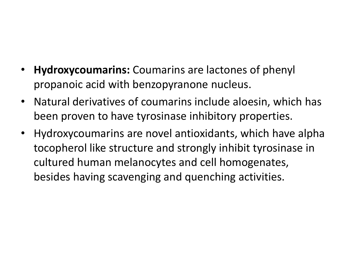- **Hydroxycoumarins:** Coumarins are lactones of phenyl propanoic acid with benzopyranone nucleus.
- Natural derivatives of coumarins include aloesin, which has been proven to have tyrosinase inhibitory properties.
- Hydroxycoumarins are novel antioxidants, which have alpha tocopherol like structure and strongly inhibit tyrosinase in cultured human melanocytes and cell homogenates, besides having scavenging and quenching activities.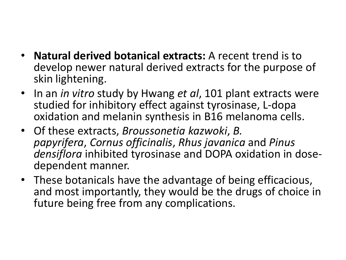- **Natural derived botanical extracts:** A recent trend is to develop newer natural derived extracts for the purpose of skin lightening.
- In an *in vitro* study by Hwang *et al*, 101 plant extracts were studied for inhibitory effect against tyrosinase, L-dopa oxidation and melanin synthesis in B16 melanoma cells.
- Of these extracts, *Broussonetia kazwoki*, *B. papyrifera*, *Cornus officinalis*, *Rhus javanica* and *Pinus densiflora* inhibited tyrosinase and DOPA oxidation in dosedependent manner.
- These botanicals have the advantage of being efficacious, and most importantly, they would be the drugs of choice in future being free from any complications.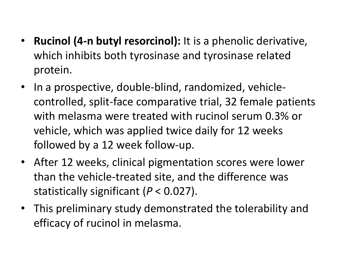- **Rucinol (4-n butyl resorcinol):** It is a phenolic derivative, which inhibits both tyrosinase and tyrosinase related protein.
- In a prospective, double-blind, randomized, vehiclecontrolled, split-face comparative trial, 32 female patients with melasma were treated with rucinol serum 0.3% or vehicle, which was applied twice daily for 12 weeks followed by a 12 week follow-up.
- After 12 weeks, clinical pigmentation scores were lower than the vehicle-treated site, and the difference was statistically significant (*P* < 0.027).
- This preliminary study demonstrated the tolerability and efficacy of rucinol in melasma.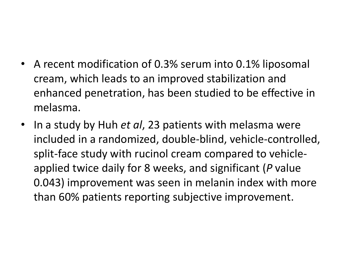- A recent modification of 0.3% serum into 0.1% liposomal cream, which leads to an improved stabilization and enhanced penetration, has been studied to be effective in melasma.
- In a study by Huh *et al*, 23 patients with melasma were included in a randomized, double-blind, vehicle-controlled, split-face study with rucinol cream compared to vehicleapplied twice daily for 8 weeks, and significant (*P* value 0.043) improvement was seen in melanin index with more than 60% patients reporting subjective improvement.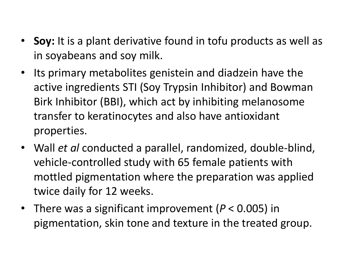- **Soy:** It is a plant derivative found in tofu products as well as in soyabeans and soy milk.
- Its primary metabolites genistein and diadzein have the active ingredients STI (Soy Trypsin Inhibitor) and Bowman Birk Inhibitor (BBI), which act by inhibiting melanosome transfer to keratinocytes and also have antioxidant properties.
- Wall *et al* conducted a parallel, randomized, double-blind, vehicle-controlled study with 65 female patients with mottled pigmentation where the preparation was applied twice daily for 12 weeks.
- There was a significant improvement (*P* < 0.005) in pigmentation, skin tone and texture in the treated group.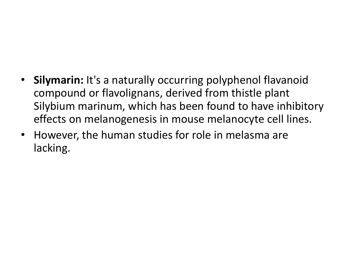### • **Silymarin:** It's a naturally occurring polyphenol flavanoid compound or flavolignans, derived from thistle plant Silybium marinum, which has been found to have inhibitory effects on melanogenesis in mouse melanocyte cell lines.

• However, the human studies for role in melasma are lacking.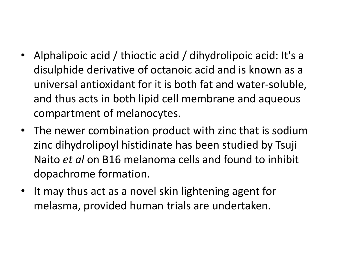- Alphalipoic acid / thioctic acid / dihydrolipoic acid: It's a disulphide derivative of octanoic acid and is known as a universal antioxidant for it is both fat and water-soluble, and thus acts in both lipid cell membrane and aqueous compartment of melanocytes.
- The newer combination product with zinc that is sodium zinc dihydrolipoyl histidinate has been studied by Tsuji Naito *et al* on B16 melanoma cells and found to inhibit dopachrome formation.
- It may thus act as a novel skin lightening agent for melasma, provided human trials are undertaken.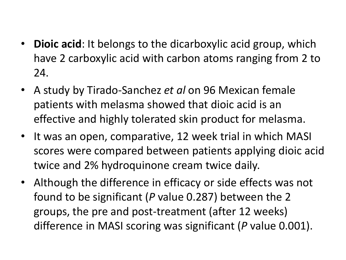- **Dioic acid**: It belongs to the dicarboxylic acid group, which have 2 carboxylic acid with carbon atoms ranging from 2 to 24.
- A study by Tirado-Sanchez *et al* on 96 Mexican female patients with melasma showed that dioic acid is an effective and highly tolerated skin product for melasma.
- It was an open, comparative, 12 week trial in which MASI scores were compared between patients applying dioic acid twice and 2% hydroquinone cream twice daily.
- Although the difference in efficacy or side effects was not found to be significant (*P* value 0.287) between the 2 groups, the pre and post-treatment (after 12 weeks) difference in MASI scoring was significant (*P* value 0.001).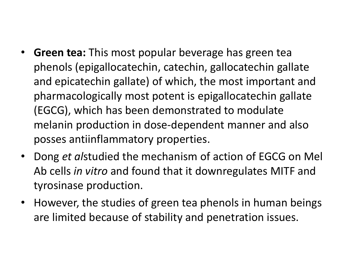- **Green tea:** This most popular beverage has green tea phenols (epigallocatechin, catechin, gallocatechin gallate and epicatechin gallate) of which, the most important and pharmacologically most potent is epigallocatechin gallate (EGCG), which has been demonstrated to modulate melanin production in dose-dependent manner and also posses antiinflammatory properties.
- Dong *et al*studied the mechanism of action of EGCG on Mel Ab cells *in vitro* and found that it downregulates MITF and tyrosinase production.
- However, the studies of green tea phenols in human beings are limited because of stability and penetration issues.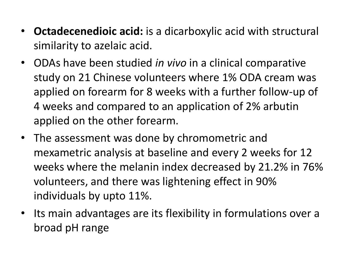- **Octadecenedioic acid:** is a dicarboxylic acid with structural similarity to azelaic acid.
- ODAs have been studied *in vivo* in a clinical comparative study on 21 Chinese volunteers where 1% ODA cream was applied on forearm for 8 weeks with a further follow-up of 4 weeks and compared to an application of 2% arbutin applied on the other forearm.
- The assessment was done by chromometric and mexametric analysis at baseline and every 2 weeks for 12 weeks where the melanin index decreased by 21.2% in 76% volunteers, and there was lightening effect in 90% individuals by upto 11%.
- Its main advantages are its flexibility in formulations over a broad pH range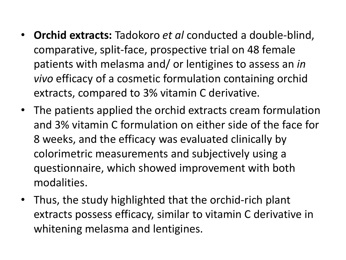- **Orchid extracts:** Tadokoro *et al* conducted a double-blind, comparative, split-face, prospective trial on 48 female patients with melasma and/ or lentigines to assess an *in vivo* efficacy of a cosmetic formulation containing orchid extracts, compared to 3% vitamin C derivative.
- The patients applied the orchid extracts cream formulation and 3% vitamin C formulation on either side of the face for 8 weeks, and the efficacy was evaluated clinically by colorimetric measurements and subjectively using a questionnaire, which showed improvement with both modalities.
- Thus, the study highlighted that the orchid-rich plant extracts possess efficacy, similar to vitamin C derivative in whitening melasma and lentigines.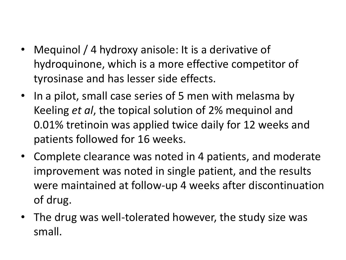- Mequinol / 4 hydroxy anisole: It is a derivative of hydroquinone, which is a more effective competitor of tyrosinase and has lesser side effects.
- In a pilot, small case series of 5 men with melasma by Keeling *et al*, the topical solution of 2% mequinol and 0.01% tretinoin was applied twice daily for 12 weeks and patients followed for 16 weeks.
- Complete clearance was noted in 4 patients, and moderate improvement was noted in single patient, and the results were maintained at follow-up 4 weeks after discontinuation of drug.
- The drug was well-tolerated however, the study size was small.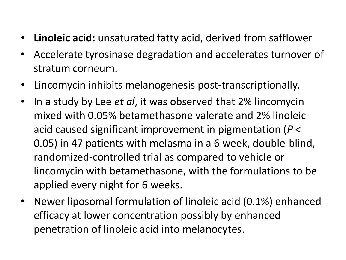- **Linoleic acid:** unsaturated fatty acid, derived from safflower
- Accelerate tyrosinase degradation and accelerates turnover of stratum corneum.
- Lincomycin inhibits melanogenesis post-transcriptionally.
- In a study by Lee *et al*, it was observed that 2% lincomycin mixed with 0.05% betamethasone valerate and 2% linoleic acid caused significant improvement in pigmentation (*P* < 0.05) in 47 patients with melasma in a 6 week, double-blind, randomized-controlled trial as compared to vehicle or lincomycin with betamethasone, with the formulations to be applied every night for 6 weeks.
- Newer liposomal formulation of linoleic acid (0.1%) enhanced efficacy at lower concentration possibly by enhanced penetration of linoleic acid into melanocytes.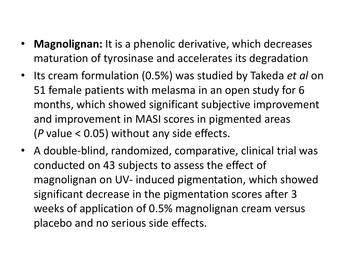- **Magnolignan:** It is a phenolic derivative, which decreases maturation of tyrosinase and accelerates its degradation
- Its cream formulation (0.5%) was studied by Takeda *et al* on 51 female patients with melasma in an open study for 6 months, which showed significant subjective improvement and improvement in MASI scores in pigmented areas (*P* value < 0.05) without any side effects.
- A double-blind, randomized, comparative, clinical trial was conducted on 43 subjects to assess the effect of magnolignan on UV- induced pigmentation, which showed significant decrease in the pigmentation scores after 3 weeks of application of 0.5% magnolignan cream versus placebo and no serious side effects.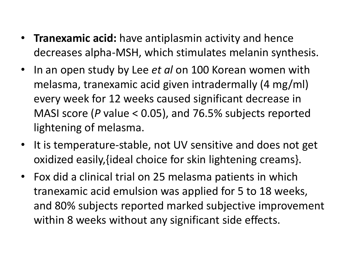- **Tranexamic acid:** have antiplasmin activity and hence decreases alpha-MSH, which stimulates melanin synthesis.
- In an open study by Lee *et al* on 100 Korean women with melasma, tranexamic acid given intradermally (4 mg/ml) every week for 12 weeks caused significant decrease in MASI score (*P* value < 0.05), and 76.5% subjects reported lightening of melasma.
- It is temperature-stable, not UV sensitive and does not get oxidized easily,{ideal choice for skin lightening creams}.
- Fox did a clinical trial on 25 melasma patients in which tranexamic acid emulsion was applied for 5 to 18 weeks, and 80% subjects reported marked subjective improvement within 8 weeks without any significant side effects.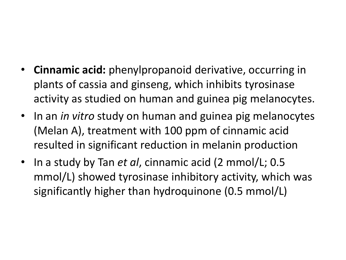- **Cinnamic acid:** phenylpropanoid derivative, occurring in plants of cassia and ginseng, which inhibits tyrosinase activity as studied on human and guinea pig melanocytes.
- In an *in vitro* study on human and guinea pig melanocytes (Melan A), treatment with 100 ppm of cinnamic acid resulted in significant reduction in melanin production
- In a study by Tan *et al*, cinnamic acid (2 mmol/L; 0.5 mmol/L) showed tyrosinase inhibitory activity, which was significantly higher than hydroquinone (0.5 mmol/L)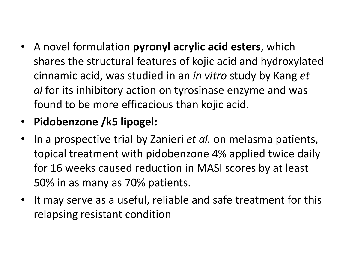- A novel formulation **pyronyl acrylic acid esters**, which shares the structural features of kojic acid and hydroxylated cinnamic acid, was studied in an *in vitro* study by Kang *et al* for its inhibitory action on tyrosinase enzyme and was found to be more efficacious than kojic acid.
- **Pidobenzone /k5 lipogel:**
- In a prospective trial by Zanieri *et al.* on melasma patients, topical treatment with pidobenzone 4% applied twice daily for 16 weeks caused reduction in MASI scores by at least 50% in as many as 70% patients.
- It may serve as a useful, reliable and safe treatment for this relapsing resistant condition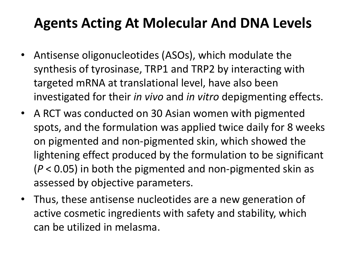## **Agents Acting At Molecular And DNA Levels**

- Antisense oligonucleotides (ASOs), which modulate the synthesis of tyrosinase, TRP1 and TRP2 by interacting with targeted mRNA at translational level, have also been investigated for their *in vivo* and *in vitro* depigmenting effects.
- A RCT was conducted on 30 Asian women with pigmented spots, and the formulation was applied twice daily for 8 weeks on pigmented and non-pigmented skin, which showed the lightening effect produced by the formulation to be significant (*P* < 0.05) in both the pigmented and non-pigmented skin as assessed by objective parameters.
- Thus, these antisense nucleotides are a new generation of active cosmetic ingredients with safety and stability, which can be utilized in melasma.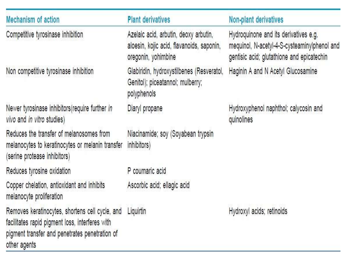| Mechanism of action                                                                                                                                                  | <b>Plant derivatives</b>                                                                                  | Non-plant derivatives                                                                                                               |
|----------------------------------------------------------------------------------------------------------------------------------------------------------------------|-----------------------------------------------------------------------------------------------------------|-------------------------------------------------------------------------------------------------------------------------------------|
| Competitive tyrosinase inhibition                                                                                                                                    | Azelaic acid, arbutin, deoxy arbutin,<br>aloesin, kojic acid, flavanoids, saponin,<br>oregonin, yohimbine | Hydroquinone and its derivatives e.g.<br>mequinol, N-acetyl-4-S-cysteaminylphenol and<br>gentisic acid; glutathione and epicatechin |
| Non competitive tyrosinase inhibition                                                                                                                                | Glabiridin, hydroxystilbenes (Resveratol,<br>Genitol); piceatannol; mulberry;<br>polyphenols              | Haginin A and N Acetyl Glucosamine                                                                                                  |
| Newer tyrosinase inhibitors (require further in<br>vivo and in vitro studies)                                                                                        | Diaryl propane                                                                                            | Hydroxyphenol naphthol; calycosin and<br>quinolines                                                                                 |
| Reduces the transfer of melanosomes from<br>melanocytes to keratinocytes or melanin transfer<br>(serine protease inhibitors)                                         | Niacinamide; soy (Soyabean trypsin<br>inhibitors)                                                         |                                                                                                                                     |
| Reduces tyrosine oxidation                                                                                                                                           | P coumaric acid                                                                                           |                                                                                                                                     |
| Copper chelation, antioxidant and inhibits<br>melanocyte proliferation                                                                                               | Ascorbic acid; ellagic acid                                                                               |                                                                                                                                     |
| Removes keratinocytes, shortens cell cycle, and<br>facilitates rapid pigment loss, interferes with<br>pigment transfer and penetrates penetration of<br>other agents | Liquirtin                                                                                                 | Hydroxyl acids; retinoids                                                                                                           |